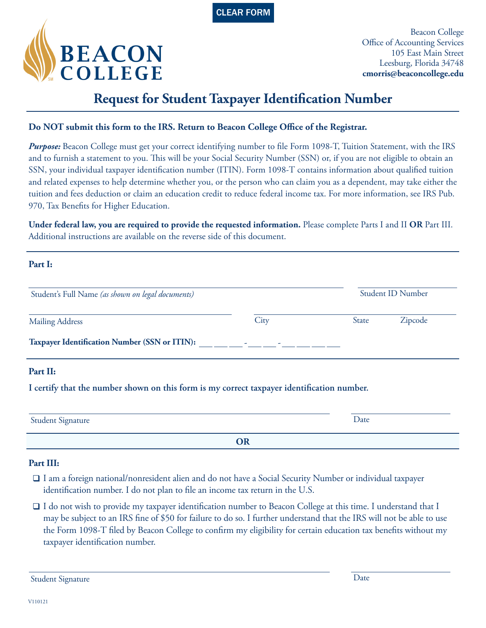



Beacon College Office of Accounting Services 105 East Main Street Leesburg, Florida 34748 **cmorris@beaconcollege.edu**

# **Request for Student Taxpayer Identification Number**

### **Do NOT submit this form to the IRS. Return to Beacon College Office of the Registrar.**

*Purpose:* Beacon College must get your correct identifying number to file Form 1098-T, Tuition Statement, with the IRS and to furnish a statement to you. This will be your Social Security Number (SSN) or, if you are not eligible to obtain an SSN, your individual taxpayer identification number (ITIN). Form 1098-T contains information about qualified tuition and related expenses to help determine whether you, or the person who can claim you as a dependent, may take either the tuition and fees deduction or claim an education credit to reduce federal income tax. For more information, see IRS Pub. 970, Tax Benefits for Higher Education.

**Under federal law, you are required to provide the requested information.** Please complete Parts I and II **OR** Part III. Additional instructions are available on the reverse side of this document.

**Part I:**

| Student's Full Name (as shown on legal documents)    |             | Student ID Number |         |
|------------------------------------------------------|-------------|-------------------|---------|
| <b>Mailing Address</b>                               | City        | State             | Zipcode |
| <b>Taxpayer Identification Number (SSN or ITIN):</b> | ٠<br>$\sim$ |                   |         |

#### **I certify that the number shown on this form is my correct taxpayer identification number.**

| <b>Student Signature</b> | Date |
|--------------------------|------|
|                          |      |

#### **Part III:**

- $\Box$  I am a foreign national/nonresident alien and do not have a Social Security Number or individual taxpayer identification number. I do not plan to file an income tax return in the U.S.
- $\Box$  I do not wish to provide my taxpayer identification number to Beacon College at this time. I understand that I may be subject to an IRS fine of \$50 for failure to do so. I further understand that the IRS will not be able to use the Form 1098-T filed by Beacon College to confirm my eligibility for certain education tax benefits without my taxpayer identification number.

Student Signature